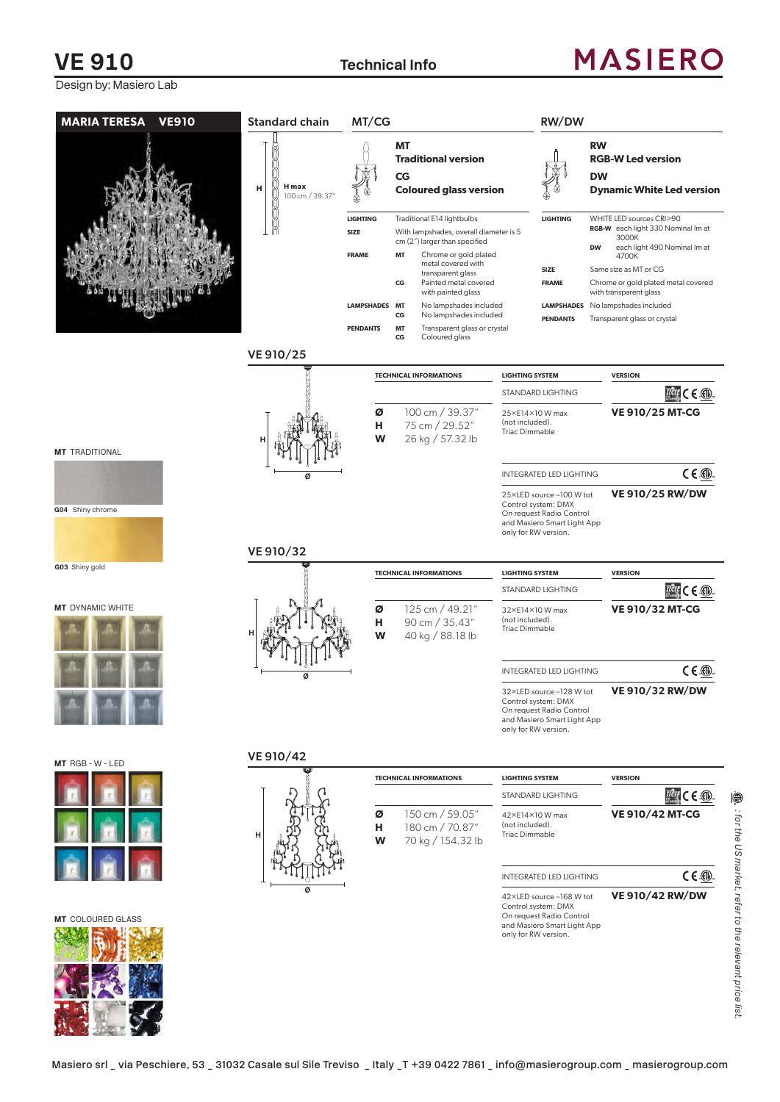#### **VE 910 Technical Info**

## **MASIERO**

3000K

4700K

**VE 910/25 MT-CG**

**THE CE ®** 

 $C \in \mathbb{Q}$ 

 $H^{\text{diff}}$   $\subset$   $\subset$   $\circledR$ .

 $C \in \mathbb{Q}$ 

 $H^{\text{diff}} \in \mathbb{C}$ .

 $C \in \mathbb{Q}$ 

**VE 910/25 RW/DW**

**VE 910/32 MT-CG**

**VE 910/32 RW/DW**

**VE 910/42 MT-CG**

**VE 910/42 RW/DW**

**MARIA TERESA VE910 TECHNICAL INFORMATIONS LIGHTING SYSTEM VERSION** STANDARD LIGHTING **Ø** 100 cm / 39.37" **H** 75 cm / 29.52" **W** 26 kg / 57.32 lb 25×E14×10 W max (not included). Triac Dimmable INTEGRATED LED LIGHTING 25×LED source –100 W tot Control system: DMX On request Radio Control and Masiero Smart Light App only for RW version. VE 910/25 **MT Traditional version CG Coloured glass version LIGHTING** Traditional E14 lightbulbs **SIZE** With lampshades, overall diameter is 5 cm (2") larger than specified **FRAME MT** Chrome or gold plated metal covered with transparent glass **CG** Painted metal covered with painted glass **LAMPSHADES MT** No lampshades included **CG** No lampshades included **PENDANTS MT** Transparent glass or crystal<br>**CG** Coloured glass Coloured glass **RW RGB-W Led version DW Dynamic White Led version LIGHTING** WHITE LED sources CRI>90 **RGB-W** each light 330 Nominal lm at **DW** each light 490 Nominal lm at **SIZE** Same size as MT or CG **FRAME** Chrome or gold plated metal covered with transparent glass **LAMPSHADES** No lampshades included **PENDANTS** Transparent glass or crystal **H Ø TECHNICAL INFORMATIONS LIGHTING SYSTEM VERSION** STANDARD LIGHTING **Ø** 125 cm / 49.21" **H** 90 cm / 35.43" **W** 40 kg / 88.18 lb 32×E14×10 W max (not included). Triac Dimmable INTEGRATED LED LIGHTING 32×LED source –128 W tot Control system: DMX On request Radio Control and Masiero Smart Light App only for RW version. VE 910/32 **H Ø TECHNICAL INFORMATIONS LIGHTING SYSTEM VERSION** STANDARD LIGHTING **Ø** 150 cm / 59.05" **H** 180 cm / 70.87" **W** 70 kg / 154.32 lb 42×E14×10 W max (not included). Triac Dimmable INTEGRATED LED LIGHTING 42×LED source –168 W tot Control system: DMX VE 910/42 **H Ø** Standard chain **H H max**  100 cm / 39.37 MT/CG RW/DW

On request Radio Control and Masiero Smart Light App only for RW version.

⊜ : for the US market, refer to the relevant price *: for the US market, refer to the relevant price list.*

list



**MT** DYNAMIC WHITE

**G03** Shiny gold

**MT** TRADITIONAL

**G04** Shiny chrome